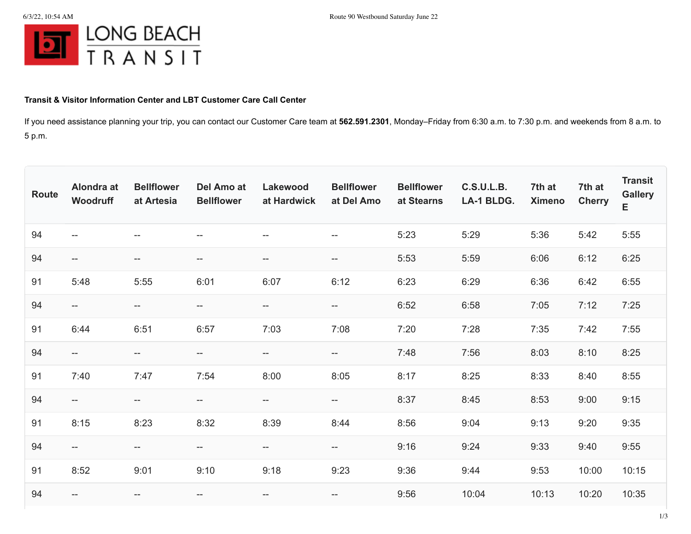

## **Transit & Visitor Information Center and LBT Customer Care Call Center**

If you need assistance planning your trip, you can contact our Customer Care team at **562.591.2301**, Monday–Friday from 6:30 a.m. to 7:30 p.m. and weekends from 8 a.m. to 5 p.m.

| Route | Alondra at<br>Woodruff   | <b>Bellflower</b><br>at Artesia | Del Amo at<br><b>Bellflower</b>     | Lakewood<br>at Hardwick | <b>Bellflower</b><br>at Del Amo | <b>Bellflower</b><br>at Stearns | <b>C.S.U.L.B.</b><br>LA-1 BLDG. | 7th at<br><b>Ximeno</b> | 7th at<br><b>Cherry</b> | <b>Transit</b><br><b>Gallery</b><br>E |
|-------|--------------------------|---------------------------------|-------------------------------------|-------------------------|---------------------------------|---------------------------------|---------------------------------|-------------------------|-------------------------|---------------------------------------|
| 94    | --                       | --                              | $- -$                               | $-$                     | --                              | 5:23                            | 5:29                            | 5:36                    | 5:42                    | 5:55                                  |
| 94    | $\qquad \qquad -$        | $-\!$                           | $-\!$                               | ——                      | $-\!$                           | 5:53                            | 5:59                            | 6:06                    | 6:12                    | 6:25                                  |
| 91    | 5:48                     | 5:55                            | 6:01                                | 6:07                    | 6:12                            | 6:23                            | 6:29                            | 6:36                    | 6:42                    | 6:55                                  |
| 94    | $- -$                    | --                              | $-\!$ $\!-$                         | ——                      | --                              | 6:52                            | 6:58                            | 7:05                    | 7:12                    | 7:25                                  |
| 91    | 6:44                     | 6:51                            | 6:57                                | 7:03                    | 7:08                            | 7:20                            | 7:28                            | 7:35                    | 7:42                    | 7:55                                  |
| 94    | $--$                     | --                              | $-\!$ –                             | --                      | --                              | 7:48                            | 7:56                            | 8:03                    | 8:10                    | 8:25                                  |
| 91    | 7:40                     | 7:47                            | 7:54                                | 8:00                    | 8:05                            | 8:17                            | 8:25                            | 8:33                    | 8:40                    | 8:55                                  |
| 94    | $--$                     | $-\!$                           | $- -$                               | --                      | --                              | 8:37                            | 8:45                            | 8:53                    | 9:00                    | 9:15                                  |
| 91    | 8:15                     | 8:23                            | 8:32                                | 8:39                    | 8:44                            | 8:56                            | 9:04                            | 9:13                    | 9:20                    | 9:35                                  |
| 94    | $\overline{\phantom{a}}$ | $- -$                           | $-\!$                               | --                      | $-\!$                           | 9:16                            | 9:24                            | 9:33                    | 9:40                    | 9:55                                  |
| 91    | 8:52                     | 9:01                            | 9:10                                | 9:18                    | 9:23                            | 9:36                            | 9:44                            | 9:53                    | 10:00                   | 10:15                                 |
| 94    | $- -$                    | --                              | $\hspace{0.05cm}$ $\hspace{0.05cm}$ | $- -$                   | $-\!$                           | 9:56                            | 10:04                           | 10:13                   | 10:20                   | 10:35                                 |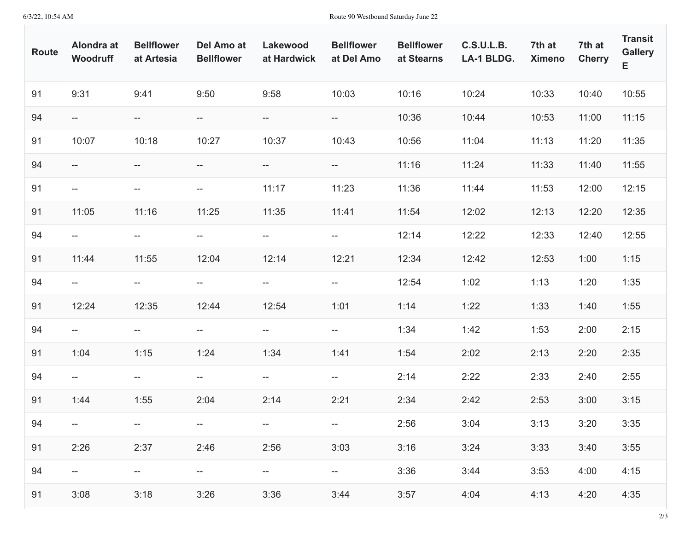6/3/22, 10:54 AM Route 90 Westbound Saturday June 22

| <b>Route</b> | Alondra at<br>Woodruff                              | <b>Bellflower</b><br>at Artesia | Del Amo at<br><b>Bellflower</b>    | Lakewood<br>at Hardwick                             | <b>Bellflower</b><br>at Del Amo                     | <b>Bellflower</b><br>at Stearns | <b>C.S.U.L.B.</b><br>LA-1 BLDG. | 7th at<br><b>Ximeno</b> | 7th at<br><b>Cherry</b> | <b>Transit</b><br><b>Gallery</b><br>Е |
|--------------|-----------------------------------------------------|---------------------------------|------------------------------------|-----------------------------------------------------|-----------------------------------------------------|---------------------------------|---------------------------------|-------------------------|-------------------------|---------------------------------------|
| 91           | 9:31                                                | 9:41                            | 9:50                               | 9:58                                                | 10:03                                               | 10:16                           | 10:24                           | 10:33                   | 10:40                   | 10:55                                 |
| 94           | --                                                  | ——                              | $-\!$                              | $- -$                                               | $- -$                                               | 10:36                           | 10:44                           | 10:53                   | 11:00                   | 11:15                                 |
| 91           | 10:07                                               | 10:18                           | 10:27                              | 10:37                                               | 10:43                                               | 10:56                           | 11:04                           | 11:13                   | 11:20                   | 11:35                                 |
| 94           | $--$                                                | --                              | $-\!$ $\!-$                        | $- -$                                               | $-\!$                                               | 11:16                           | 11:24                           | 11:33                   | 11:40                   | 11:55                                 |
| 91           | $\hspace{0.05cm} -\hspace{0.05cm} -\hspace{0.05cm}$ | $-\!$                           | $\overline{\phantom{a}}$           | 11:17                                               | 11:23                                               | 11:36                           | 11:44                           | 11:53                   | 12:00                   | 12:15                                 |
| 91           | 11:05                                               | 11:16                           | 11:25                              | 11:35                                               | 11:41                                               | 11:54                           | 12:02                           | 12:13                   | 12:20                   | 12:35                                 |
| 94           | $\hspace{0.05cm} -\hspace{0.05cm} -\hspace{0.05cm}$ | $\hspace{0.05cm} \dashv$        | $--$                               | $- -$                                               | $-\!$                                               | 12:14                           | 12:22                           | 12:33                   | 12:40                   | 12:55                                 |
| 91           | 11:44                                               | 11:55                           | 12:04                              | 12:14                                               | 12:21                                               | 12:34                           | 12:42                           | 12:53                   | 1:00                    | 1:15                                  |
| 94           | $- -$                                               | $\overline{\phantom{a}}$        | $\overline{\phantom{a}}$           | $\overline{\phantom{a}}$                            | $-\!$                                               | 12:54                           | 1:02                            | 1:13                    | 1:20                    | 1:35                                  |
| 91           | 12:24                                               | 12:35                           | 12:44                              | 12:54                                               | 1:01                                                | 1:14                            | 1:22                            | 1:33                    | 1:40                    | 1:55                                  |
| 94           | $\hspace{0.05cm} -\hspace{0.05cm} -\hspace{0.05cm}$ | $\hspace{0.05cm} \dashv$        | $\overline{\phantom{a}}$           | $- -$                                               | $\hspace{0.05cm} -\hspace{0.05cm} -\hspace{0.05cm}$ | 1:34                            | 1:42                            | 1:53                    | 2:00                    | 2:15                                  |
| 91           | 1:04                                                | 1:15                            | 1:24                               | 1:34                                                | 1:41                                                | 1:54                            | 2:02                            | 2:13                    | 2:20                    | 2:35                                  |
| 94           | $- -$                                               | $\overline{\phantom{a}}$        | $\hspace{0.05cm} -\hspace{0.05cm}$ | $- -$                                               | $-\!$                                               | 2:14                            | 2:22                            | 2:33                    | 2:40                    | 2:55                                  |
| 91           | 1:44                                                | 1:55                            | 2:04                               | 2:14                                                | 2:21                                                | 2:34                            | 2:42                            | 2:53                    | 3:00                    | 3:15                                  |
| 94           |                                                     |                                 |                                    | $- -$                                               |                                                     | 2:56                            | 3:04                            | 3:13                    | 3:20                    | 3:35                                  |
| 91           | 2:26                                                | 2:37                            | 2:46                               | 2:56                                                | 3:03                                                | 3:16                            | 3:24                            | 3:33                    | 3:40                    | 3:55                                  |
| 94           | --                                                  | --                              | $\hspace{0.05cm} -\hspace{0.05cm}$ | $\hspace{0.05cm} -\hspace{0.05cm} -\hspace{0.05cm}$ | $- -$                                               | 3:36                            | 3:44                            | 3:53                    | 4:00                    | 4:15                                  |
| 91           | 3:08                                                | 3:18                            | 3:26                               | 3:36                                                | 3:44                                                | 3:57                            | 4:04                            | 4:13                    | 4:20                    | 4:35                                  |